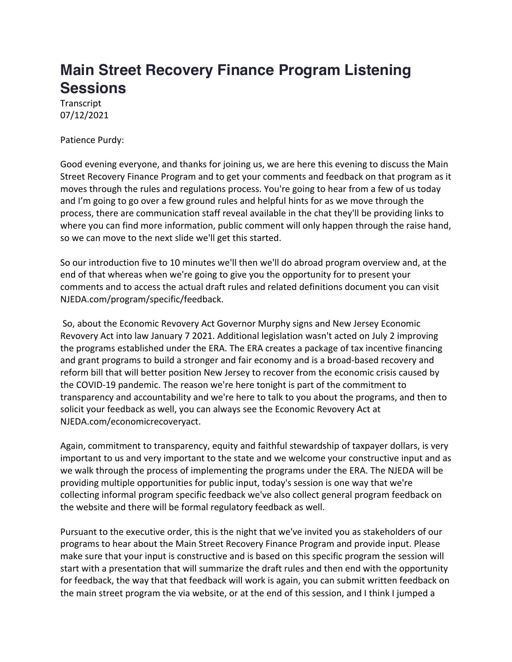## **Main Street Recovery Finance Program Listening Sessions**

**Transcript** 07/12/2021

Patience Purdy:

Good evening everyone, and thanks for joining us, we are here this evening to discuss the Main Street Recovery Finance Program and to get your comments and feedback on that program as it moves through the rules and regulations process. You're going to hear from a few of us today and I'm going to go over a few ground rules and helpful hints for as we move through the process, there are communication staff reveal available in the chat they'll be providing links to where you can find more information, public comment will only happen through the raise hand, so we can move to the next slide we'll get this started.

So our introduction five to 10 minutes we'll then we'll do abroad program overview and, at the end of that whereas when we're going to give you the opportunity for to present your comments and to access the actual draft rules and related definitions document you can visit NJEDA.com/program/specific/feedback.

So, about the Economic Revovery Act Governor Murphy signs and New Jersey Economic Revovery Act into law January 7 2021. Additional legislation wasn't acted on July 2 improving the programs established under the ERA. The ERA creates a package of tax incentive financing and grant programs to build a stronger and fair economy and is a broad-based recovery and reform bill that will better position New Jersey to recover from the economic crisis caused by the COVID-19 pandemic. The reason we're here tonight is part of the commitment to transparency and accountability and we're here to talk to you about the programs, and then to solicit your feedback as well, you can always see the Economic Revovery Act at NJEDA.com/economicrecoveryact.

Again, commitment to transparency, equity and faithful stewardship of taxpayer dollars, is very important to us and very important to the state and we welcome your constructive input and as we walk through the process of implementing the programs under the ERA. The NJEDA will be providing multiple opportunities for public input, today's session is one way that we're collecting informal program specific feedback we've also collect general program feedback on the website and there will be formal regulatory feedback as well.

Pursuant to the executive order, this is the night that we've invited you as stakeholders of our programs to hear about the Main Street Recovery Finance Program and provide input. Please make sure that your input is constructive and is based on this specific program the session will start with a presentation that will summarize the draft rules and then end with the opportunity for feedback, the way that that feedback will work is again, you can submit written feedback on the main street program the via website, or at the end of this session, and I think I jumped a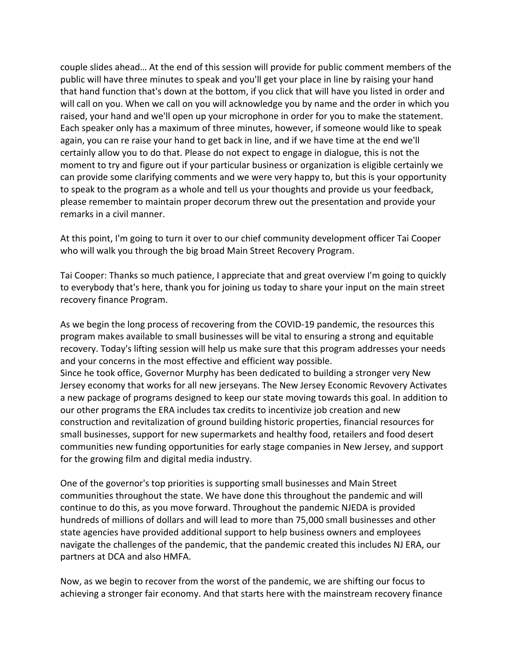couple slides ahead… At the end of this session will provide for public comment members of the public will have three minutes to speak and you'll get your place in line by raising your hand that hand function that's down at the bottom, if you click that will have you listed in order and will call on you. When we call on you will acknowledge you by name and the order in which you raised, your hand and we'll open up your microphone in order for you to make the statement. Each speaker only has a maximum of three minutes, however, if someone would like to speak again, you can re raise your hand to get back in line, and if we have time at the end we'll certainly allow you to do that. Please do not expect to engage in dialogue, this is not the moment to try and figure out if your particular business or organization is eligible certainly we can provide some clarifying comments and we were very happy to, but this is your opportunity to speak to the program as a whole and tell us your thoughts and provide us your feedback, please remember to maintain proper decorum threw out the presentation and provide your remarks in a civil manner.

At this point, I'm going to turn it over to our chief community development officer Tai Cooper who will walk you through the big broad Main Street Recovery Program.

Tai Cooper: Thanks so much patience, I appreciate that and great overview I'm going to quickly to everybody that's here, thank you for joining us today to share your input on the main street recovery finance Program.

As we begin the long process of recovering from the COVID-19 pandemic, the resources this program makes available to small businesses will be vital to ensuring a strong and equitable recovery. Today's lifting session will help us make sure that this program addresses your needs and your concerns in the most effective and efficient way possible. Since he took office, Governor Murphy has been dedicated to building a stronger very New

Jersey economy that works for all new jerseyans. The New Jersey Economic Revovery Activates a new package of programs designed to keep our state moving towards this goal. In addition to our other programs the ERA includes tax credits to incentivize job creation and new construction and revitalization of ground building historic properties, financial resources for small businesses, support for new supermarkets and healthy food, retailers and food desert communities new funding opportunities for early stage companies in New Jersey, and support for the growing film and digital media industry.

One of the governor's top priorities is supporting small businesses and Main Street communities throughout the state. We have done this throughout the pandemic and will continue to do this, as you move forward. Throughout the pandemic NJEDA is provided hundreds of millions of dollars and will lead to more than 75,000 small businesses and other state agencies have provided additional support to help business owners and employees navigate the challenges of the pandemic, that the pandemic created this includes NJ ERA, our partners at DCA and also HMFA.

Now, as we begin to recover from the worst of the pandemic, we are shifting our focus to achieving a stronger fair economy. And that starts here with the mainstream recovery finance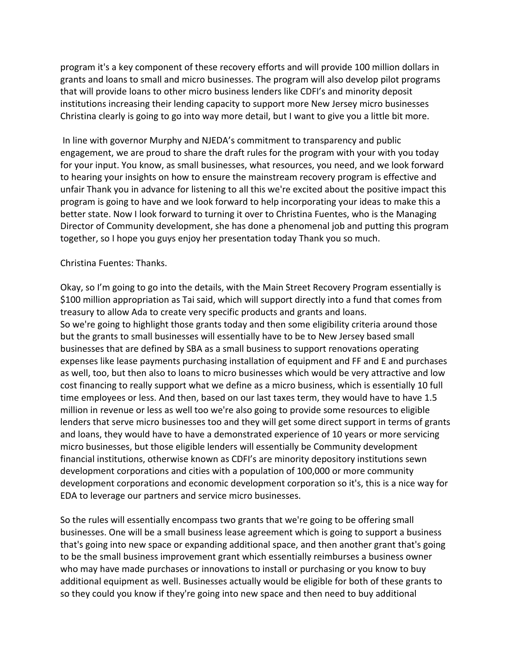program it's a key component of these recovery efforts and will provide 100 million dollars in grants and loans to small and micro businesses. The program will also develop pilot programs that will provide loans to other micro business lenders like CDFI's and minority deposit institutions increasing their lending capacity to support more New Jersey micro businesses Christina clearly is going to go into way more detail, but I want to give you a little bit more.

In line with governor Murphy and NJEDA's commitment to transparency and public engagement, we are proud to share the draft rules for the program with your with you today for your input. You know, as small businesses, what resources, you need, and we look forward to hearing your insights on how to ensure the mainstream recovery program is effective and unfair Thank you in advance for listening to all this we're excited about the positive impact this program is going to have and we look forward to help incorporating your ideas to make this a better state. Now I look forward to turning it over to Christina Fuentes, who is the Managing Director of Community development, she has done a phenomenal job and putting this program together, so I hope you guys enjoy her presentation today Thank you so much.

## Christina Fuentes: Thanks.

Okay, so I'm going to go into the details, with the Main Street Recovery Program essentially is \$100 million appropriation as Tai said, which will support directly into a fund that comes from treasury to allow Ada to create very specific products and grants and loans. So we're going to highlight those grants today and then some eligibility criteria around those but the grants to small businesses will essentially have to be to New Jersey based small businesses that are defined by SBA as a small business to support renovations operating expenses like lease payments purchasing installation of equipment and FF and E and purchases as well, too, but then also to loans to micro businesses which would be very attractive and low cost financing to really support what we define as a micro business, which is essentially 10 full time employees or less. And then, based on our last taxes term, they would have to have 1.5 million in revenue or less as well too we're also going to provide some resources to eligible lenders that serve micro businesses too and they will get some direct support in terms of grants and loans, they would have to have a demonstrated experience of 10 years or more servicing micro businesses, but those eligible lenders will essentially be Community development financial institutions, otherwise known as CDFI's are minority depository institutions sewn development corporations and cities with a population of 100,000 or more community development corporations and economic development corporation so it's, this is a nice way for EDA to leverage our partners and service micro businesses.

So the rules will essentially encompass two grants that we're going to be offering small businesses. One will be a small business lease agreement which is going to support a business that's going into new space or expanding additional space, and then another grant that's going to be the small business improvement grant which essentially reimburses a business owner who may have made purchases or innovations to install or purchasing or you know to buy additional equipment as well. Businesses actually would be eligible for both of these grants to so they could you know if they're going into new space and then need to buy additional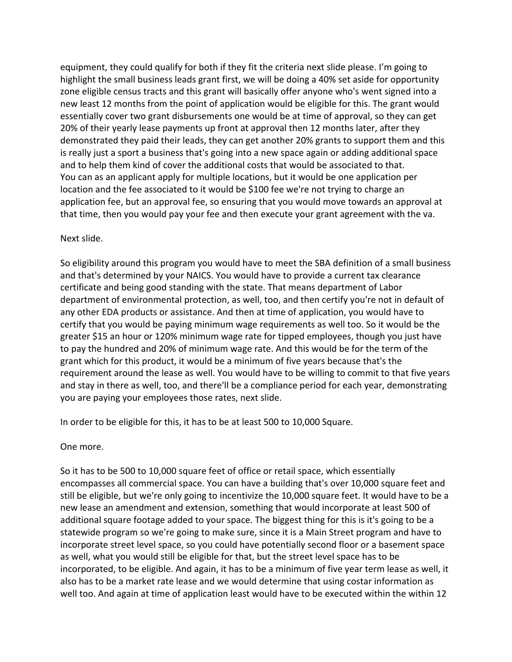equipment, they could qualify for both if they fit the criteria next slide please. I'm going to highlight the small business leads grant first, we will be doing a 40% set aside for opportunity zone eligible census tracts and this grant will basically offer anyone who's went signed into a new least 12 months from the point of application would be eligible for this. The grant would essentially cover two grant disbursements one would be at time of approval, so they can get 20% of their yearly lease payments up front at approval then 12 months later, after they demonstrated they paid their leads, they can get another 20% grants to support them and this is really just a sport a business that's going into a new space again or adding additional space and to help them kind of cover the additional costs that would be associated to that. You can as an applicant apply for multiple locations, but it would be one application per location and the fee associated to it would be \$100 fee we're not trying to charge an application fee, but an approval fee, so ensuring that you would move towards an approval at that time, then you would pay your fee and then execute your grant agreement with the va.

## Next slide.

So eligibility around this program you would have to meet the SBA definition of a small business and that's determined by your NAICS. You would have to provide a current tax clearance certificate and being good standing with the state. That means department of Labor department of environmental protection, as well, too, and then certify you're not in default of any other EDA products or assistance. And then at time of application, you would have to certify that you would be paying minimum wage requirements as well too. So it would be the greater \$15 an hour or 120% minimum wage rate for tipped employees, though you just have to pay the hundred and 20% of minimum wage rate. And this would be for the term of the grant which for this product, it would be a minimum of five years because that's the requirement around the lease as well. You would have to be willing to commit to that five years and stay in there as well, too, and there'll be a compliance period for each year, demonstrating you are paying your employees those rates, next slide.

In order to be eligible for this, it has to be at least 500 to 10,000 Square.

One more.

So it has to be 500 to 10,000 square feet of office or retail space, which essentially encompasses all commercial space. You can have a building that's over 10,000 square feet and still be eligible, but we're only going to incentivize the 10,000 square feet. It would have to be a new lease an amendment and extension, something that would incorporate at least 500 of additional square footage added to your space. The biggest thing for this is it's going to be a statewide program so we're going to make sure, since it is a Main Street program and have to incorporate street level space, so you could have potentially second floor or a basement space as well, what you would still be eligible for that, but the street level space has to be incorporated, to be eligible. And again, it has to be a minimum of five year term lease as well, it also has to be a market rate lease and we would determine that using costar information as well too. And again at time of application least would have to be executed within the within 12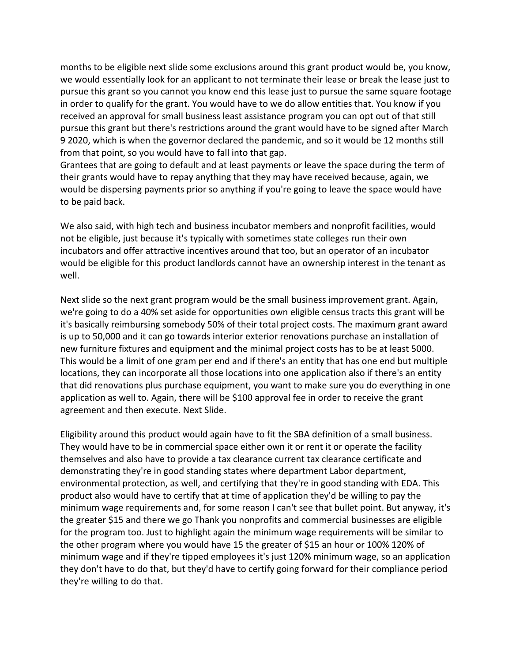months to be eligible next slide some exclusions around this grant product would be, you know, we would essentially look for an applicant to not terminate their lease or break the lease just to pursue this grant so you cannot you know end this lease just to pursue the same square footage in order to qualify for the grant. You would have to we do allow entities that. You know if you received an approval for small business least assistance program you can opt out of that still pursue this grant but there's restrictions around the grant would have to be signed after March 9 2020, which is when the governor declared the pandemic, and so it would be 12 months still from that point, so you would have to fall into that gap.

Grantees that are going to default and at least payments or leave the space during the term of their grants would have to repay anything that they may have received because, again, we would be dispersing payments prior so anything if you're going to leave the space would have to be paid back.

We also said, with high tech and business incubator members and nonprofit facilities, would not be eligible, just because it's typically with sometimes state colleges run their own incubators and offer attractive incentives around that too, but an operator of an incubator would be eligible for this product landlords cannot have an ownership interest in the tenant as well.

Next slide so the next grant program would be the small business improvement grant. Again, we're going to do a 40% set aside for opportunities own eligible census tracts this grant will be it's basically reimbursing somebody 50% of their total project costs. The maximum grant award is up to 50,000 and it can go towards interior exterior renovations purchase an installation of new furniture fixtures and equipment and the minimal project costs has to be at least 5000. This would be a limit of one gram per end and if there's an entity that has one end but multiple locations, they can incorporate all those locations into one application also if there's an entity that did renovations plus purchase equipment, you want to make sure you do everything in one application as well to. Again, there will be \$100 approval fee in order to receive the grant agreement and then execute. Next Slide.

Eligibility around this product would again have to fit the SBA definition of a small business. They would have to be in commercial space either own it or rent it or operate the facility themselves and also have to provide a tax clearance current tax clearance certificate and demonstrating they're in good standing states where department Labor department, environmental protection, as well, and certifying that they're in good standing with EDA. This product also would have to certify that at time of application they'd be willing to pay the minimum wage requirements and, for some reason I can't see that bullet point. But anyway, it's the greater \$15 and there we go Thank you nonprofits and commercial businesses are eligible for the program too. Just to highlight again the minimum wage requirements will be similar to the other program where you would have 15 the greater of \$15 an hour or 100% 120% of minimum wage and if they're tipped employees it's just 120% minimum wage, so an application they don't have to do that, but they'd have to certify going forward for their compliance period they're willing to do that.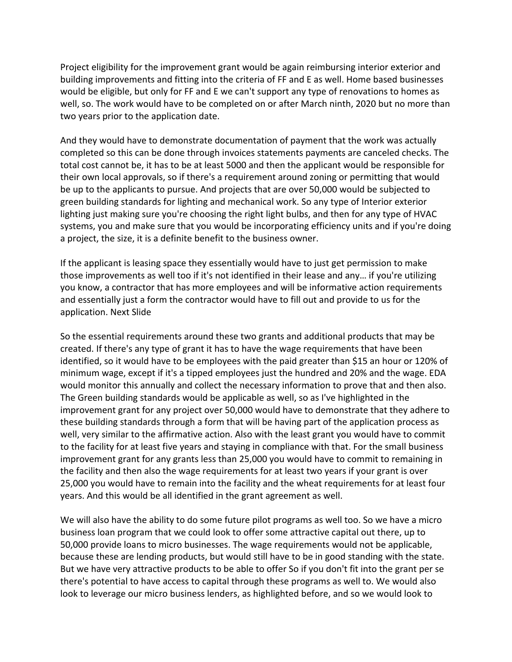Project eligibility for the improvement grant would be again reimbursing interior exterior and building improvements and fitting into the criteria of FF and E as well. Home based businesses would be eligible, but only for FF and E we can't support any type of renovations to homes as well, so. The work would have to be completed on or after March ninth, 2020 but no more than two years prior to the application date.

And they would have to demonstrate documentation of payment that the work was actually completed so this can be done through invoices statements payments are canceled checks. The total cost cannot be, it has to be at least 5000 and then the applicant would be responsible for their own local approvals, so if there's a requirement around zoning or permitting that would be up to the applicants to pursue. And projects that are over 50,000 would be subjected to green building standards for lighting and mechanical work. So any type of Interior exterior lighting just making sure you're choosing the right light bulbs, and then for any type of HVAC systems, you and make sure that you would be incorporating efficiency units and if you're doing a project, the size, it is a definite benefit to the business owner.

If the applicant is leasing space they essentially would have to just get permission to make those improvements as well too if it's not identified in their lease and any… if you're utilizing you know, a contractor that has more employees and will be informative action requirements and essentially just a form the contractor would have to fill out and provide to us for the application. Next Slide

So the essential requirements around these two grants and additional products that may be created. If there's any type of grant it has to have the wage requirements that have been identified, so it would have to be employees with the paid greater than \$15 an hour or 120% of minimum wage, except if it's a tipped employees just the hundred and 20% and the wage. EDA would monitor this annually and collect the necessary information to prove that and then also. The Green building standards would be applicable as well, so as I've highlighted in the improvement grant for any project over 50,000 would have to demonstrate that they adhere to these building standards through a form that will be having part of the application process as well, very similar to the affirmative action. Also with the least grant you would have to commit to the facility for at least five years and staying in compliance with that. For the small business improvement grant for any grants less than 25,000 you would have to commit to remaining in the facility and then also the wage requirements for at least two years if your grant is over 25,000 you would have to remain into the facility and the wheat requirements for at least four years. And this would be all identified in the grant agreement as well.

We will also have the ability to do some future pilot programs as well too. So we have a micro business loan program that we could look to offer some attractive capital out there, up to 50,000 provide loans to micro businesses. The wage requirements would not be applicable, because these are lending products, but would still have to be in good standing with the state. But we have very attractive products to be able to offer So if you don't fit into the grant per se there's potential to have access to capital through these programs as well to. We would also look to leverage our micro business lenders, as highlighted before, and so we would look to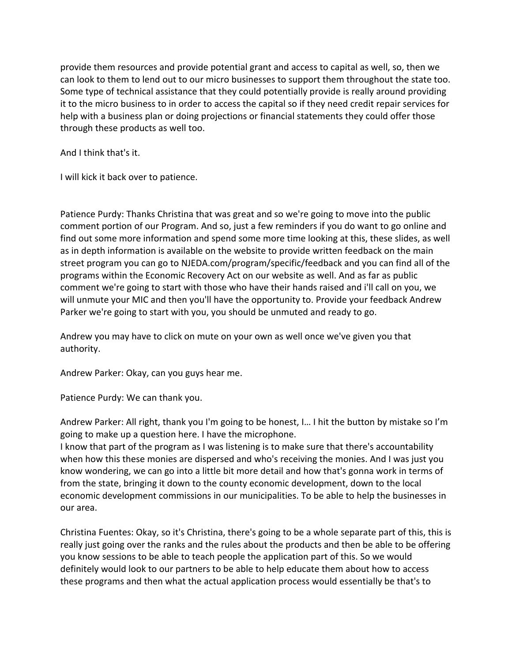provide them resources and provide potential grant and access to capital as well, so, then we can look to them to lend out to our micro businesses to support them throughout the state too. Some type of technical assistance that they could potentially provide is really around providing it to the micro business to in order to access the capital so if they need credit repair services for help with a business plan or doing projections or financial statements they could offer those through these products as well too.

And I think that's it.

I will kick it back over to patience.

Patience Purdy: Thanks Christina that was great and so we're going to move into the public comment portion of our Program. And so, just a few reminders if you do want to go online and find out some more information and spend some more time looking at this, these slides, as well as in depth information is available on the website to provide written feedback on the main street program you can go to NJEDA.com/program/specific/feedback and you can find all of the programs within the Economic Recovery Act on our website as well. And as far as public comment we're going to start with those who have their hands raised and i'll call on you, we will unmute your MIC and then you'll have the opportunity to. Provide your feedback Andrew Parker we're going to start with you, you should be unmuted and ready to go.

Andrew you may have to click on mute on your own as well once we've given you that authority.

Andrew Parker: Okay, can you guys hear me.

Patience Purdy: We can thank you.

Andrew Parker: All right, thank you I'm going to be honest, I… I hit the button by mistake so I'm going to make up a question here. I have the microphone.

I know that part of the program as I was listening is to make sure that there's accountability when how this these monies are dispersed and who's receiving the monies. And I was just you know wondering, we can go into a little bit more detail and how that's gonna work in terms of from the state, bringing it down to the county economic development, down to the local economic development commissions in our municipalities. To be able to help the businesses in our area.

Christina Fuentes: Okay, so it's Christina, there's going to be a whole separate part of this, this is really just going over the ranks and the rules about the products and then be able to be offering you know sessions to be able to teach people the application part of this. So we would definitely would look to our partners to be able to help educate them about how to access these programs and then what the actual application process would essentially be that's to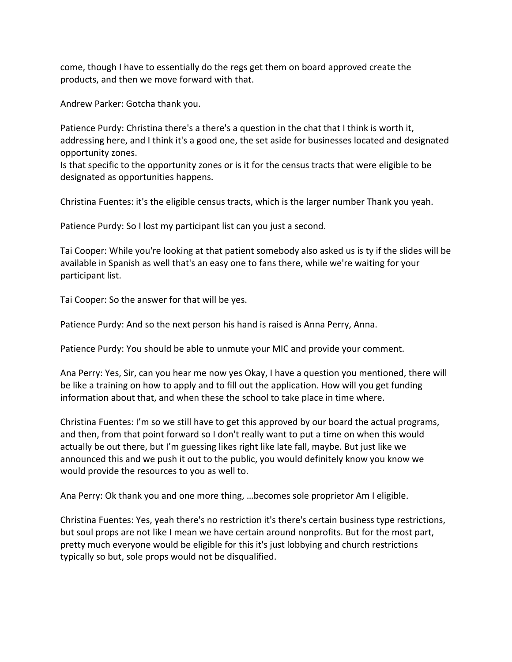come, though I have to essentially do the regs get them on board approved create the products, and then we move forward with that.

Andrew Parker: Gotcha thank you.

Patience Purdy: Christina there's a there's a question in the chat that I think is worth it, addressing here, and I think it's a good one, the set aside for businesses located and designated opportunity zones.

Is that specific to the opportunity zones or is it for the census tracts that were eligible to be designated as opportunities happens.

Christina Fuentes: it's the eligible census tracts, which is the larger number Thank you yeah.

Patience Purdy: So I lost my participant list can you just a second.

Tai Cooper: While you're looking at that patient somebody also asked us is ty if the slides will be available in Spanish as well that's an easy one to fans there, while we're waiting for your participant list.

Tai Cooper: So the answer for that will be yes.

Patience Purdy: And so the next person his hand is raised is Anna Perry, Anna.

Patience Purdy: You should be able to unmute your MIC and provide your comment.

Ana Perry: Yes, Sir, can you hear me now yes Okay, I have a question you mentioned, there will be like a training on how to apply and to fill out the application. How will you get funding information about that, and when these the school to take place in time where.

Christina Fuentes: I'm so we still have to get this approved by our board the actual programs, and then, from that point forward so I don't really want to put a time on when this would actually be out there, but I'm guessing likes right like late fall, maybe. But just like we announced this and we push it out to the public, you would definitely know you know we would provide the resources to you as well to.

Ana Perry: Ok thank you and one more thing, …becomes sole proprietor Am I eligible.

Christina Fuentes: Yes, yeah there's no restriction it's there's certain business type restrictions, but soul props are not like I mean we have certain around nonprofits. But for the most part, pretty much everyone would be eligible for this it's just lobbying and church restrictions typically so but, sole props would not be disqualified.